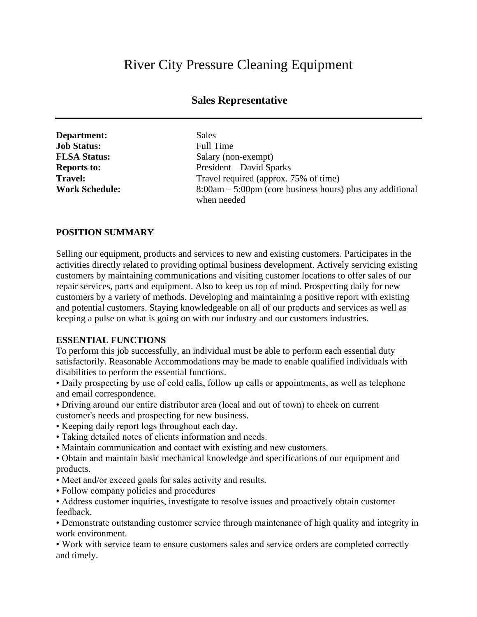# River City Pressure Cleaning Equipment

# **Sales Representative**

| Department:           | Sales        |
|-----------------------|--------------|
| <b>Job Status:</b>    | Full 7       |
| <b>FLSA Status:</b>   | Salar        |
| <b>Reports to:</b>    | Presi        |
| <b>Travel:</b>        | <b>Trave</b> |
| <b>Work Schedule:</b> | 8:00a        |

**Job Status:** Full Time **Salary** (non-exempt) President – David Sparks Travel required (approx. 75% of time) **Work Schedule:** 8:00am – 5:00pm (core business hours) plus any additional when needed

#### **POSITION SUMMARY**

Selling our equipment, products and services to new and existing customers. Participates in the activities directly related to providing optimal business development. Actively servicing existing customers by maintaining communications and visiting customer locations to offer sales of our repair services, parts and equipment. Also to keep us top of mind. Prospecting daily for new customers by a variety of methods. Developing and maintaining a positive report with existing and potential customers. Staying knowledgeable on all of our products and services as well as keeping a pulse on what is going on with our industry and our customers industries.

#### **ESSENTIAL FUNCTIONS**

To perform this job successfully, an individual must be able to perform each essential duty satisfactorily. Reasonable Accommodations may be made to enable qualified individuals with disabilities to perform the essential functions.

• Daily prospecting by use of cold calls, follow up calls or appointments, as well as telephone and email correspondence.

• Driving around our entire distributor area (local and out of town) to check on current customer's needs and prospecting for new business.

- Keeping daily report logs throughout each day.
- Taking detailed notes of clients information and needs.
- Maintain communication and contact with existing and new customers.

• Obtain and maintain basic mechanical knowledge and specifications of our equipment and products.

- Meet and/or exceed goals for sales activity and results.
- Follow company policies and procedures
- Address customer inquiries, investigate to resolve issues and proactively obtain customer feedback.

• Demonstrate outstanding customer service through maintenance of high quality and integrity in work environment.

• Work with service team to ensure customers sales and service orders are completed correctly and timely.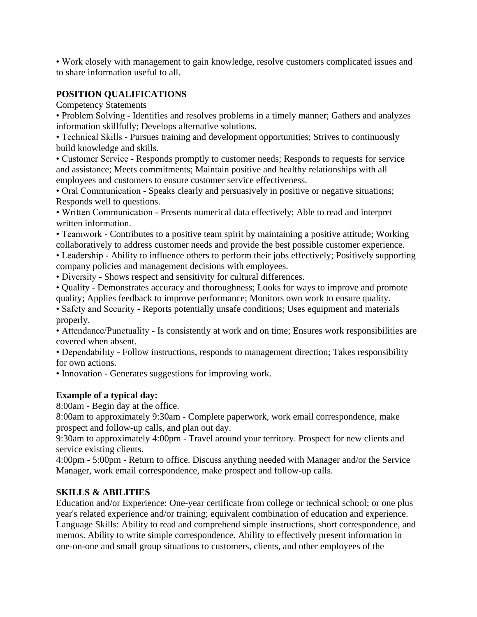• Work closely with management to gain knowledge, resolve customers complicated issues and to share information useful to all.

## **POSITION QUALIFICATIONS**

Competency Statements

• Problem Solving - Identifies and resolves problems in a timely manner; Gathers and analyzes information skillfully; Develops alternative solutions.

• Technical Skills - Pursues training and development opportunities; Strives to continuously build knowledge and skills.

• Customer Service - Responds promptly to customer needs; Responds to requests for service and assistance; Meets commitments; Maintain positive and healthy relationships with all employees and customers to ensure customer service effectiveness.

• Oral Communication - Speaks clearly and persuasively in positive or negative situations; Responds well to questions.

• Written Communication - Presents numerical data effectively; Able to read and interpret written information.

• Teamwork - Contributes to a positive team spirit by maintaining a positive attitude; Working collaboratively to address customer needs and provide the best possible customer experience.

• Leadership - Ability to influence others to perform their jobs effectively; Positively supporting company policies and management decisions with employees.

• Diversity - Shows respect and sensitivity for cultural differences.

• Quality - Demonstrates accuracy and thoroughness; Looks for ways to improve and promote quality; Applies feedback to improve performance; Monitors own work to ensure quality.

• Safety and Security - Reports potentially unsafe conditions; Uses equipment and materials properly.

• Attendance/Punctuality - Is consistently at work and on time; Ensures work responsibilities are covered when absent.

• Dependability - Follow instructions, responds to management direction; Takes responsibility for own actions.

• Innovation - Generates suggestions for improving work.

## **Example of a typical day:**

8:00am - Begin day at the office.

8:00am to approximately 9:30am - Complete paperwork, work email correspondence, make prospect and follow-up calls, and plan out day.

9:30am to approximately 4:00pm - Travel around your territory. Prospect for new clients and service existing clients.

4:00pm - 5:00pm - Return to office. Discuss anything needed with Manager and/or the Service Manager, work email correspondence, make prospect and follow-up calls.

## **SKILLS & ABILITIES**

Education and/or Experience: One-year certificate from college or technical school; or one plus year's related experience and/or training; equivalent combination of education and experience. Language Skills: Ability to read and comprehend simple instructions, short correspondence, and memos. Ability to write simple correspondence. Ability to effectively present information in one-on-one and small group situations to customers, clients, and other employees of the